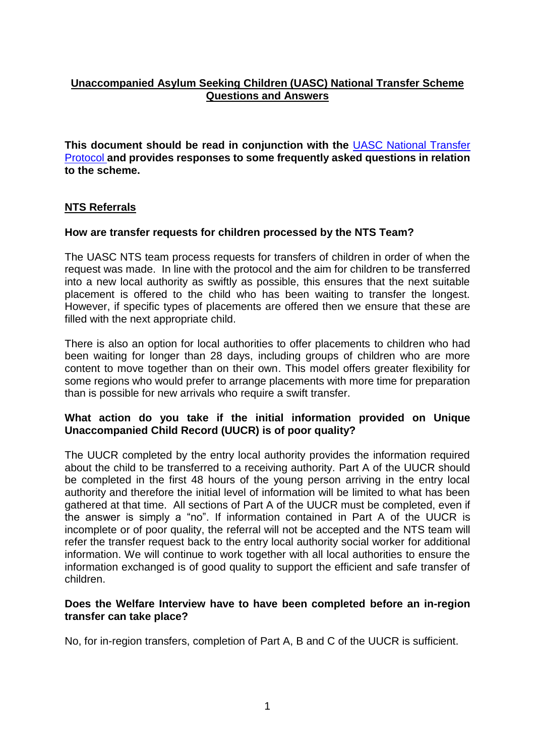## **Unaccompanied Asylum Seeking Children (UASC) National Transfer Scheme Questions and Answers**

**This document should be read in conjunction with the** [UASC National Transfer](https://assets.publishing.service.gov.uk/government/uploads/system/uploads/attachment_data/file/687226/NTS_Protocol_Final_-_March_2018.pdf)  [Protocol](https://assets.publishing.service.gov.uk/government/uploads/system/uploads/attachment_data/file/687226/NTS_Protocol_Final_-_March_2018.pdf) **and provides responses to some frequently asked questions in relation to the scheme.** 

## **NTS Referrals**

## **How are transfer requests for children processed by the NTS Team?**

The UASC NTS team process requests for transfers of children in order of when the request was made. In line with the protocol and the aim for children to be transferred into a new local authority as swiftly as possible, this ensures that the next suitable placement is offered to the child who has been waiting to transfer the longest. However, if specific types of placements are offered then we ensure that these are filled with the next appropriate child.

There is also an option for local authorities to offer placements to children who had been waiting for longer than 28 days, including groups of children who are more content to move together than on their own. This model offers greater flexibility for some regions who would prefer to arrange placements with more time for preparation than is possible for new arrivals who require a swift transfer.

## **What action do you take if the initial information provided on Unique Unaccompanied Child Record (UUCR) is of poor quality?**

The UUCR completed by the entry local authority provides the information required about the child to be transferred to a receiving authority. Part A of the UUCR should be completed in the first 48 hours of the young person arriving in the entry local authority and therefore the initial level of information will be limited to what has been gathered at that time. All sections of Part A of the UUCR must be completed, even if the answer is simply a "no". If information contained in Part A of the UUCR is incomplete or of poor quality, the referral will not be accepted and the NTS team will refer the transfer request back to the entry local authority social worker for additional information. We will continue to work together with all local authorities to ensure the information exchanged is of good quality to support the efficient and safe transfer of children.

### **Does the Welfare Interview have to have been completed before an in-region transfer can take place?**

No, for in-region transfers, completion of Part A, B and C of the UUCR is sufficient.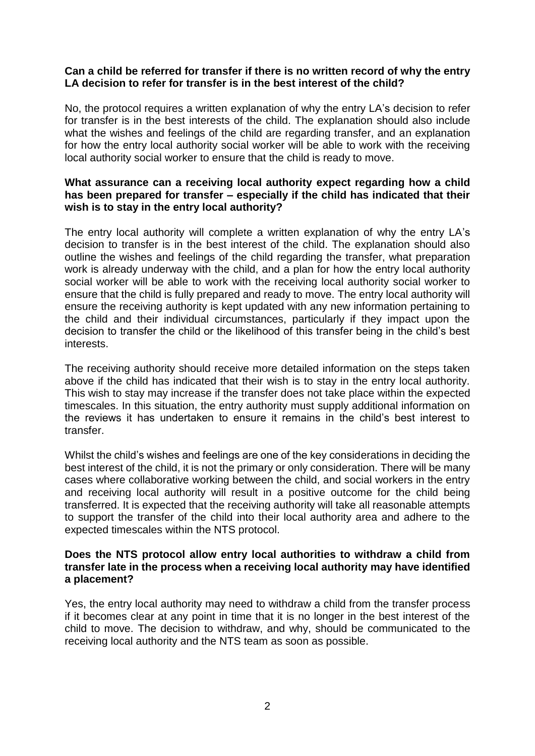## **Can a child be referred for transfer if there is no written record of why the entry LA decision to refer for transfer is in the best interest of the child?**

No, the protocol requires a written explanation of why the entry LA's decision to refer for transfer is in the best interests of the child. The explanation should also include what the wishes and feelings of the child are regarding transfer, and an explanation for how the entry local authority social worker will be able to work with the receiving local authority social worker to ensure that the child is ready to move.

## **What assurance can a receiving local authority expect regarding how a child has been prepared for transfer – especially if the child has indicated that their wish is to stay in the entry local authority?**

The entry local authority will complete a written explanation of why the entry LA's decision to transfer is in the best interest of the child. The explanation should also outline the wishes and feelings of the child regarding the transfer, what preparation work is already underway with the child, and a plan for how the entry local authority social worker will be able to work with the receiving local authority social worker to ensure that the child is fully prepared and ready to move. The entry local authority will ensure the receiving authority is kept updated with any new information pertaining to the child and their individual circumstances, particularly if they impact upon the decision to transfer the child or the likelihood of this transfer being in the child's best interests.

The receiving authority should receive more detailed information on the steps taken above if the child has indicated that their wish is to stay in the entry local authority. This wish to stay may increase if the transfer does not take place within the expected timescales. In this situation, the entry authority must supply additional information on the reviews it has undertaken to ensure it remains in the child's best interest to transfer.

Whilst the child's wishes and feelings are one of the key considerations in deciding the best interest of the child, it is not the primary or only consideration. There will be many cases where collaborative working between the child, and social workers in the entry and receiving local authority will result in a positive outcome for the child being transferred. It is expected that the receiving authority will take all reasonable attempts to support the transfer of the child into their local authority area and adhere to the expected timescales within the NTS protocol.

### **Does the NTS protocol allow entry local authorities to withdraw a child from transfer late in the process when a receiving local authority may have identified a placement?**

Yes, the entry local authority may need to withdraw a child from the transfer process if it becomes clear at any point in time that it is no longer in the best interest of the child to move. The decision to withdraw, and why, should be communicated to the receiving local authority and the NTS team as soon as possible.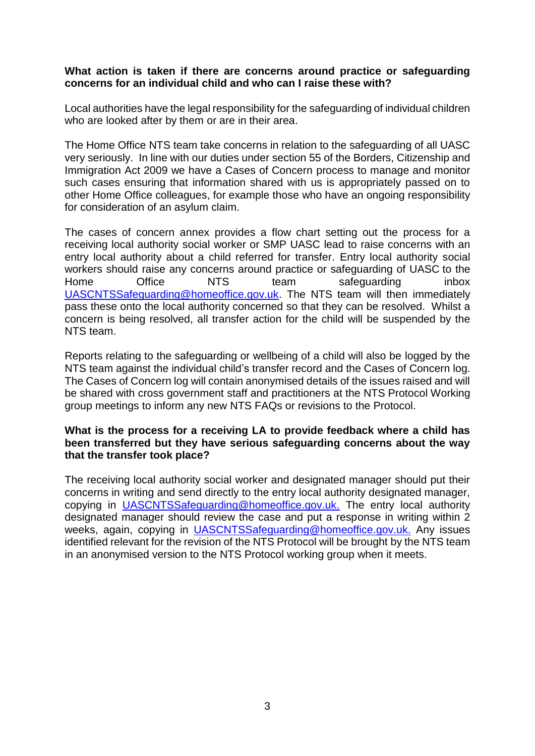## **What action is taken if there are concerns around practice or safeguarding concerns for an individual child and who can I raise these with?**

Local authorities have the legal responsibility for the safeguarding of individual children who are looked after by them or are in their area.

The Home Office NTS team take concerns in relation to the safeguarding of all UASC very seriously. In line with our duties under section 55 of the Borders, Citizenship and Immigration Act 2009 we have a Cases of Concern process to manage and monitor such cases ensuring that information shared with us is appropriately passed on to other Home Office colleagues, for example those who have an ongoing responsibility for consideration of an asylum claim.

The cases of concern annex provides a flow chart setting out the process for a receiving local authority social worker or SMP UASC lead to raise concerns with an entry local authority about a child referred for transfer. Entry local authority social workers should raise any concerns around practice or safeguarding of UASC to the Home Office NTS team safeguarding inbox [UASCNTSSafeguarding@homeoffice.gov.uk.](mailto:UASCNTSSafeguarding@homeoffice.gov.uk) The NTS team will then immediately pass these onto the local authority concerned so that they can be resolved. Whilst a concern is being resolved, all transfer action for the child will be suspended by the NTS team.

Reports relating to the safeguarding or wellbeing of a child will also be logged by the NTS team against the individual child's transfer record and the Cases of Concern log. The Cases of Concern log will contain anonymised details of the issues raised and will be shared with cross government staff and practitioners at the NTS Protocol Working group meetings to inform any new NTS FAQs or revisions to the Protocol.

## **What is the process for a receiving LA to provide feedback where a child has been transferred but they have serious safeguarding concerns about the way that the transfer took place?**

The receiving local authority social worker and designated manager should put their concerns in writing and send directly to the entry local authority designated manager, copying in [UASCNTSSafeguarding@homeoffice.gov.uk.](mailto:UASCNTSSafeguarding@homeoffice.gov.uk) The entry local authority designated manager should review the case and put a response in writing within 2 weeks, again, copying in [UASCNTSSafeguarding@homeoffice.gov.uk.](mailto:UASCNTSSafeguarding@homeoffice.gov.uk) Any issues identified relevant for the revision of the NTS Protocol will be brought by the NTS team in an anonymised version to the NTS Protocol working group when it meets.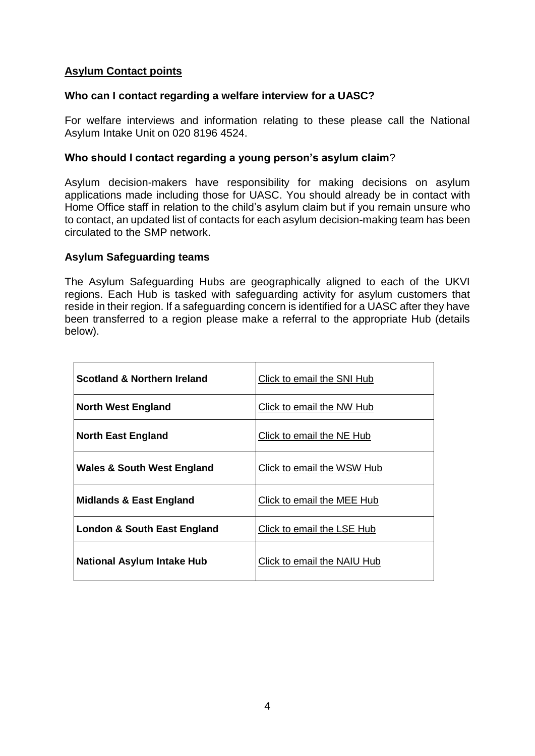## **Asylum Contact points**

### **Who can I contact regarding a welfare interview for a UASC?**

For welfare interviews and information relating to these please call the National Asylum Intake Unit on 020 8196 4524.

### **Who should I contact regarding a young person's asylum claim**?

Asylum decision-makers have responsibility for making decisions on asylum applications made including those for UASC. You should already be in contact with Home Office staff in relation to the child's asylum claim but if you remain unsure who to contact, an updated list of contacts for each asylum decision-making team has been circulated to the SMP network.

### **Asylum Safeguarding teams**

The Asylum Safeguarding Hubs are geographically aligned to each of the UKVI regions. Each Hub is tasked with safeguarding activity for asylum customers that reside in their region. If a safeguarding concern is identified for a UASC after they have been transferred to a region please make a referral to the appropriate Hub (details below).

| <b>Scotland &amp; Northern Ireland</b> | Click to email the SNI Hub  |
|----------------------------------------|-----------------------------|
| <b>North West England</b>              | Click to email the NW Hub   |
| <b>North East England</b>              | Click to email the NE Hub   |
| <b>Wales &amp; South West England</b>  | Click to email the WSW Hub  |
| <b>Midlands &amp; East England</b>     | Click to email the MEE Hub  |
| London & South East England            | Click to email the LSE Hub  |
| <b>National Asylum Intake Hub</b>      | Click to email the NAIU Hub |